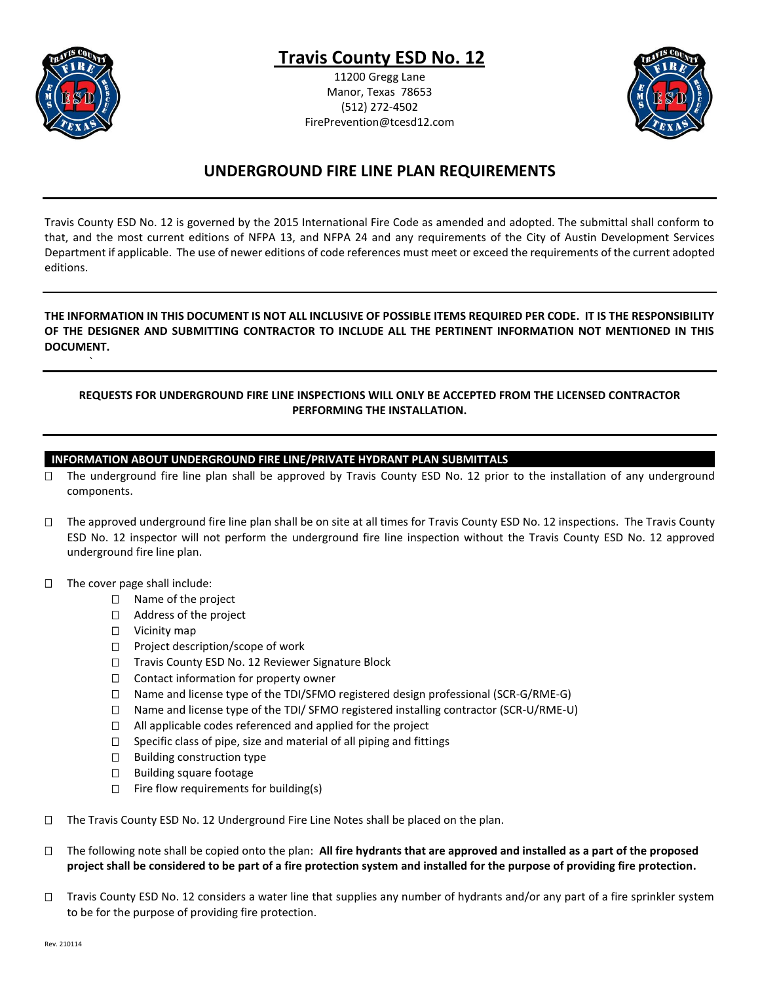

`

# **Travis County ESD No. 12**

11200 Gregg Lane Manor, Texas 78653 (512) 272-4502 FirePrevention@tcesd12.com



## **UNDERGROUND FIRE LINE PLAN REQUIREMENTS**

Travis County ESD No. 12 is governed by the 2015 International Fire Code as amended and adopted. The submittal shall conform to that, and the most current editions of NFPA 13, and NFPA 24 and any requirements of the City of Austin Development Services Department if applicable. The use of newer editions of code references must meet or exceed the requirements of the current adopted editions.

## **THE INFORMATION IN THIS DOCUMENT IS NOT ALL INCLUSIVE OF POSSIBLE ITEMS REQUIRED PER CODE. IT IS THE RESPONSIBILITY OF THE DESIGNER AND SUBMITTING CONTRACTOR TO INCLUDE ALL THE PERTINENT INFORMATION NOT MENTIONED IN THIS DOCUMENT.**

## **REQUESTS FOR UNDERGROUND FIRE LINE INSPECTIONS WILL ONLY BE ACCEPTED FROM THE LICENSED CONTRACTOR PERFORMING THE INSTALLATION.**

## **INFORMATION ABOUT UNDERGROUND FIRE LINE/PRIVATE HYDRANT PLAN SUBMITTALS**

- □ The underground fire line plan shall be approved by Travis County ESD No. 12 prior to the installation of any underground components.
- $\Box$  The approved underground fire line plan shall be on site at all times for Travis County ESD No. 12 inspections. The Travis County ESD No. 12 inspector will not perform the underground fire line inspection without the Travis County ESD No. 12 approved underground fire line plan.
- $\Box$  The cover page shall include:
	- □ Name of the project
	- □ Address of the project
	- □ Vicinity map
	- □ Project description/scope of work
	- □ Travis County ESD No. 12 Reviewer Signature Block
	- $\Box$  Contact information for property owner
	- $\Box$  Name and license type of the TDI/SFMO registered design professional (SCR-G/RME-G)
	- Name and license type of the TDI/ SFMO registered installing contractor (SCR-U/RME-U)
	- $\Box$  All applicable codes referenced and applied for the project
	- $\Box$  Specific class of pipe, size and material of all piping and fittings
	- $\square$  Building construction type
	- $\Box$  Building square footage
	- $\Box$  Fire flow requirements for building(s)
- □ The Travis County ESD No. 12 Underground Fire Line Notes shall be placed on the plan.
- The following note shall be copied onto the plan: **All fire hydrants that are approved and installed as a part of the proposed project shall be considered to be part of a fire protection system and installed for the purpose of providing fire protection.**
- $\Box$  Travis County ESD No. 12 considers a water line that supplies any number of hydrants and/or any part of a fire sprinkler system to be for the purpose of providing fire protection.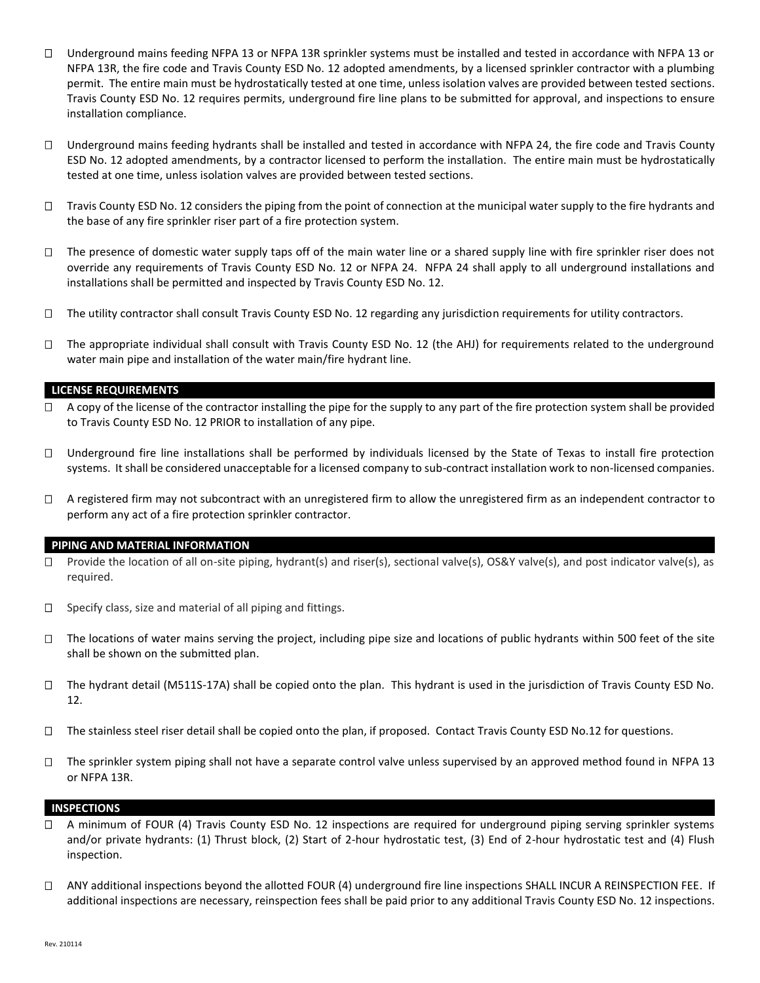- $\Box$  Underground mains feeding NFPA 13 or NFPA 13R sprinkler systems must be installed and tested in accordance with NFPA 13 or NFPA 13R, the fire code and Travis County ESD No. 12 adopted amendments, by a licensed sprinkler contractor with a plumbing permit. The entire main must be hydrostatically tested at one time, unless isolation valves are provided between tested sections. Travis County ESD No. 12 requires permits, underground fire line plans to be submitted for approval, and inspections to ensure installation compliance.
- $\Box$  Underground mains feeding hydrants shall be installed and tested in accordance with NFPA 24, the fire code and Travis County ESD No. 12 adopted amendments, by a contractor licensed to perform the installation. The entire main must be hydrostatically tested at one time, unless isolation valves are provided between tested sections.
- $\Box$  Travis County ESD No. 12 considers the piping from the point of connection at the municipal water supply to the fire hydrants and the base of any fire sprinkler riser part of a fire protection system.
- $\Box$  The presence of domestic water supply taps off of the main water line or a shared supply line with fire sprinkler riser does not override any requirements of Travis County ESD No. 12 or NFPA 24. NFPA 24 shall apply to all underground installations and installations shall be permitted and inspected by Travis County ESD No. 12.
- The utility contractor shall consult Travis County ESD No. 12 regarding any jurisdiction requirements for utility contractors.
- $\Box$  The appropriate individual shall consult with Travis County ESD No. 12 (the AHJ) for requirements related to the underground water main pipe and installation of the water main/fire hydrant line.

### **LICENSE REQUIREMENTS**

- $\Box$  A copy of the license of the contractor installing the pipe for the supply to any part of the fire protection system shall be provided to Travis County ESD No. 12 PRIOR to installation of any pipe.
- $\Box$  Underground fire line installations shall be performed by individuals licensed by the State of Texas to install fire protection systems. It shall be considered unacceptable for a licensed company to sub-contract installation work to non-licensed companies.
- $\Box$  A registered firm may not subcontract with an unregistered firm to allow the unregistered firm as an independent contractor to perform any act of a fire protection sprinkler contractor.

#### **PIPING AND MATERIAL INFORMATION**

- $\Box$  Provide the location of all on-site piping, hydrant(s) and riser(s), sectional valve(s), OS&Y valve(s), and post indicator valve(s), as required.
- $\Box$  Specify class, size and material of all piping and fittings.
- $\Box$  The locations of water mains serving the project, including pipe size and locations of public hydrants within 500 feet of the site shall be shown on the submitted plan.
- $\Box$  The hydrant detail (M511S-17A) shall be copied onto the plan. This hydrant is used in the jurisdiction of Travis County ESD No. 12.
- $\Box$  The stainless steel riser detail shall be copied onto the plan, if proposed. Contact Travis County ESD No.12 for questions.
- $\Box$  The sprinkler system piping shall not have a separate control valve unless supervised by an approved method found in NFPA 13 or NFPA 13R.

#### **INSPECTIONS**

- □ A minimum of FOUR (4) Travis County ESD No. 12 inspections are required for underground piping serving sprinkler systems and/or private hydrants: (1) Thrust block, (2) Start of 2-hour hydrostatic test, (3) End of 2-hour hydrostatic test and (4) Flush inspection.
- ANY additional inspections beyond the allotted FOUR (4) underground fire line inspections SHALL INCUR A REINSPECTION FEE. If additional inspections are necessary, reinspection fees shall be paid prior to any additional Travis County ESD No. 12 inspections.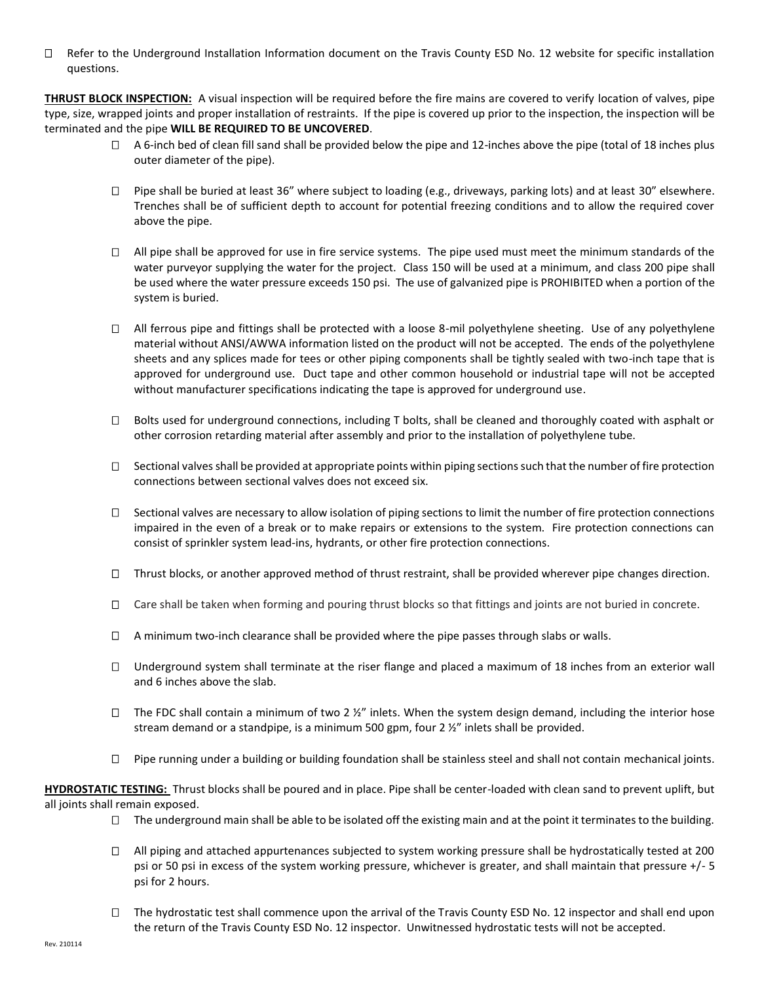$\Box$  Refer to the Underground Installation Information document on the Travis County ESD No. 12 website for specific installation questions.

**THRUST BLOCK INSPECTION:** A visual inspection will be required before the fire mains are covered to verify location of valves, pipe type, size, wrapped joints and proper installation of restraints. If the pipe is covered up prior to the inspection, the inspection will be terminated and the pipe **WILL BE REQUIRED TO BE UNCOVERED**.

- $\Box$  A 6-inch bed of clean fill sand shall be provided below the pipe and 12-inches above the pipe (total of 18 inches plus outer diameter of the pipe).
- □ Pipe shall be buried at least 36" where subject to loading (e.g., driveways, parking lots) and at least 30" elsewhere. Trenches shall be of sufficient depth to account for potential freezing conditions and to allow the required cover above the pipe.
- $\Box$  All pipe shall be approved for use in fire service systems. The pipe used must meet the minimum standards of the water purveyor supplying the water for the project. Class 150 will be used at a minimum, and class 200 pipe shall be used where the water pressure exceeds 150 psi. The use of galvanized pipe is PROHIBITED when a portion of the system is buried.
- $\Box$  All ferrous pipe and fittings shall be protected with a loose 8-mil polyethylene sheeting. Use of any polyethylene material without ANSI/AWWA information listed on the product will not be accepted. The ends of the polyethylene sheets and any splices made for tees or other piping components shall be tightly sealed with two-inch tape that is approved for underground use. Duct tape and other common household or industrial tape will not be accepted without manufacturer specifications indicating the tape is approved for underground use.
- $\Box$  Bolts used for underground connections, including T bolts, shall be cleaned and thoroughly coated with asphalt or other corrosion retarding material after assembly and prior to the installation of polyethylene tube.
- $\Box$  Sectional valves shall be provided at appropriate points within piping sections such that the number of fire protection connections between sectional valves does not exceed six.
- $\square$  Sectional valves are necessary to allow isolation of piping sections to limit the number of fire protection connections impaired in the even of a break or to make repairs or extensions to the system. Fire protection connections can consist of sprinkler system lead-ins, hydrants, or other fire protection connections.
- $\Box$  Thrust blocks, or another approved method of thrust restraint, shall be provided wherever pipe changes direction.
- Care shall be taken when forming and pouring thrust blocks so that fittings and joints are not buried in concrete.
- $\Box$  A minimum two-inch clearance shall be provided where the pipe passes through slabs or walls.
- $\Box$  Underground system shall terminate at the riser flange and placed a maximum of 18 inches from an exterior wall and 6 inches above the slab.
- $\Box$  The FDC shall contain a minimum of two 2  $\frac{y}{n}$  inlets. When the system design demand, including the interior hose stream demand or a standpipe, is a minimum 500 gpm, four 2 ½" inlets shall be provided.
- $\Box$  Pipe running under a building or building foundation shall be stainless steel and shall not contain mechanical joints.

**HYDROSTATIC TESTING:** Thrust blocks shall be poured and in place. Pipe shall be center-loaded with clean sand to prevent uplift, but all joints shall remain exposed.

- $\Box$  The underground main shall be able to be isolated off the existing main and at the point it terminates to the building.
- $\Box$  All piping and attached appurtenances subjected to system working pressure shall be hydrostatically tested at 200 psi or 50 psi in excess of the system working pressure, whichever is greater, and shall maintain that pressure +/- 5 psi for 2 hours.
- $\Box$  The hydrostatic test shall commence upon the arrival of the Travis County ESD No. 12 inspector and shall end upon the return of the Travis County ESD No. 12 inspector. Unwitnessed hydrostatic tests will not be accepted.